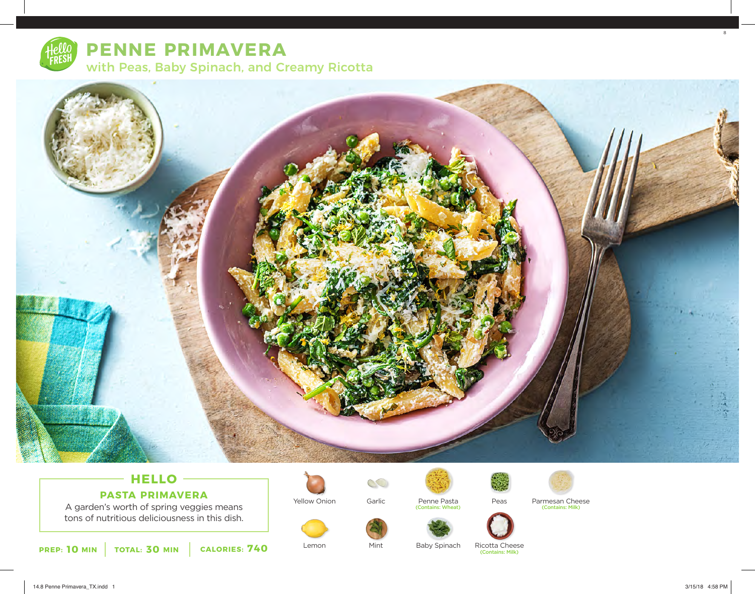

# **PENNE PRIMAVERA** with Peas, Baby Spinach, and Creamy Ricotta



## **HELLO PASTA PRIMAVERA**

A garden's worth of spring veggies means tons of nutritious deliciousness in this dish.



Lemon

Yellow Onion



Mint

Penne Pasta<br>(Contains: Wheat)

Baby Spinach



Peas



Penne Pasta Parmesan Cheese (Contains: Milk)



Ricotta Cheese (Contains: Milk)

8